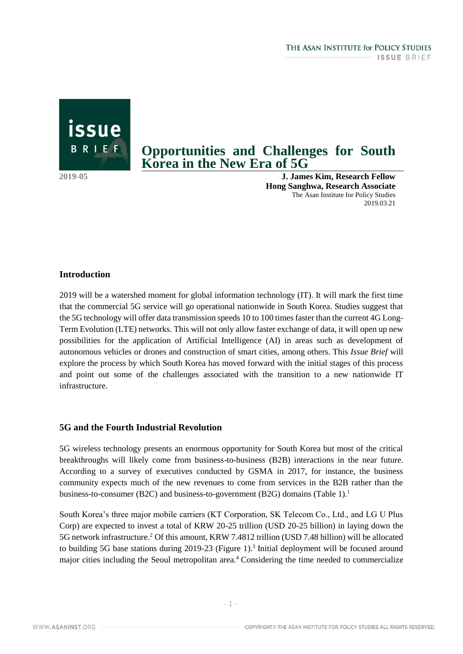# **Opportunities and Challenges for South Korea in the New Era of 5G**

issue

BRIEF

**2019-05 J. James Kim, Research Fellow Hong Sanghwa, Research Associate** The Asan Institute for Policy Studies 2019.03.21

## **Introduction**

2019 will be a watershed moment for global information technology (IT). It will mark the first time that the commercial 5G service will go operational nationwide in South Korea. Studies suggest that the 5G technology will offer data transmission speeds 10 to 100 times faster than the current 4G Long-Term Evolution (LTE) networks. This will not only allow faster exchange of data, it will open up new possibilities for the application of Artificial Intelligence (AI) in areas such as development of autonomous vehicles or drones and construction of smart cities, among others. This *Issue Brief* will explore the process by which South Korea has moved forward with the initial stages of this process and point out some of the challenges associated with the transition to a new nationwide IT infrastructure.

#### **5G and the Fourth Industrial Revolution**

5G wireless technology presents an enormous opportunity for South Korea but most of the critical breakthroughs will likely come from business-to-business (B2B) interactions in the near future. According to a survey of executives conducted by GSMA in 2017, for instance, the business community expects much of the new revenues to come from services in the B2B rather than the business-to-consumer (B2C) and business-to-government (B2G) domains (Table 1).<sup>1</sup>

South Korea's three major mobile carriers (KT Corporation, SK Telecom Co., Ltd., and LG U Plus Corp) are expected to invest a total of KRW 20-25 trillion (USD 20-25 billion) in laying down the 5G network infrastructure.<sup>2</sup> Of this amount, KRW 7.4812 trillion (USD 7.48 billion) will be allocated to building 5G base stations during 2019-23 (Figure 1).<sup>3</sup> Initial deployment will be focused around major cities including the Seoul metropolitan area.<sup>4</sup> Considering the time needed to commercialize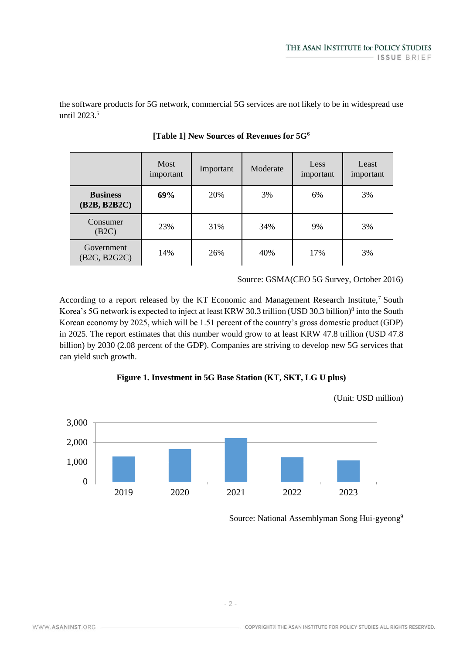the software products for 5G network, commercial 5G services are not likely to be in widespread use until 2023.<sup>5</sup>

|                                                      | Most<br>important | Important | Moderate | <b>Less</b><br>important | Least<br>important |
|------------------------------------------------------|-------------------|-----------|----------|--------------------------|--------------------|
| <b>Business</b><br>(B2B, B2B2C)                      | 69%               | 20%       | 3%       | 6%                       | 3%                 |
| Consumer<br>(B2C)                                    | 23%               | 31%       | 34%      | 9%                       | 3%                 |
| Government<br>(B <sub>2G</sub> , B <sub>2G2C</sub> ) | 14%               | 26%       | 40%      | 17%                      | 3%                 |

**[Table 1] New Sources of Revenues for 5G<sup>6</sup>**

Source: GSMA(CEO 5G Survey, October 2016)

According to a report released by the KT Economic and Management Research Institute,<sup>7</sup> South Korea's 5G network is expected to inject at least KRW 30.3 trillion (USD 30.3 billion)<sup>8</sup> into the South Korean economy by 2025, which will be 1.51 percent of the country's gross domestic product (GDP) in 2025. The report estimates that this number would grow to at least KRW 47.8 trillion (USD 47.8 billion) by 2030 (2.08 percent of the GDP). Companies are striving to develop new 5G services that can yield such growth.





(Unit: USD million)

Source: National Assemblyman Song Hui-gyeong<sup>9</sup>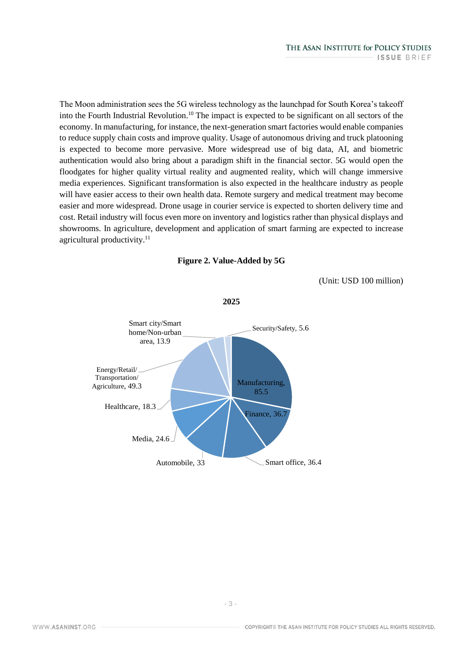The Moon administration sees the 5G wireless technology as the launchpad for South Korea's takeoff into the Fourth Industrial Revolution.<sup>10</sup> The impact is expected to be significant on all sectors of the economy. In manufacturing, for instance, the next-generation smart factories would enable companies to reduce supply chain costs and improve quality. Usage of autonomous driving and truck platooning is expected to become more pervasive. More widespread use of big data, AI, and biometric authentication would also bring about a paradigm shift in the financial sector. 5G would open the floodgates for higher quality virtual reality and augmented reality, which will change immersive media experiences. Significant transformation is also expected in the healthcare industry as people will have easier access to their own health data. Remote surgery and medical treatment may become easier and more widespread. Drone usage in courier service is expected to shorten delivery time and cost. Retail industry will focus even more on inventory and logistics rather than physical displays and showrooms. In agriculture, development and application of smart farming are expected to increase agricultural productivity.<sup>11</sup>



(Unit: USD 100 million)



**2025**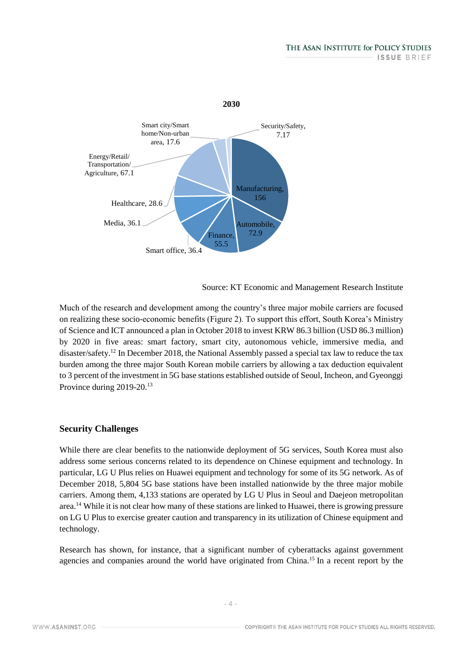

Source: KT Economic and Management Research Institute

Much of the research and development among the country's three major mobile carriers are focused on realizing these socio-economic benefits (Figure 2). To support this effort, South Korea's Ministry of Science and ICT announced a plan in October 2018 to invest KRW 86.3 billion (USD 86.3 million) by 2020 in five areas: smart factory, smart city, autonomous vehicle, immersive media, and disaster/safety.<sup>12</sup> In December 2018, the National Assembly passed a special tax law to reduce the tax burden among the three major South Korean mobile carriers by allowing a tax deduction equivalent to 3 percent of the investment in 5G base stations established outside of Seoul, Incheon, and Gyeonggi Province during 2019-20.<sup>13</sup>

#### **Security Challenges**

While there are clear benefits to the nationwide deployment of 5G services, South Korea must also address some serious concerns related to its dependence on Chinese equipment and technology. In particular, LG U Plus relies on Huawei equipment and technology for some of its 5G network. As of December 2018, 5,804 5G base stations have been installed nationwide by the three major mobile carriers. Among them, 4,133 stations are operated by LG U Plus in Seoul and Daejeon metropolitan area.<sup>14</sup> While it is not clear how many of these stations are linked to Huawei, there is growing pressure on LG U Plus to exercise greater caution and transparency in its utilization of Chinese equipment and technology.

Research has shown, for instance, that a significant number of cyberattacks against government agencies and companies around the world have originated from China.<sup>15</sup> In a recent report by the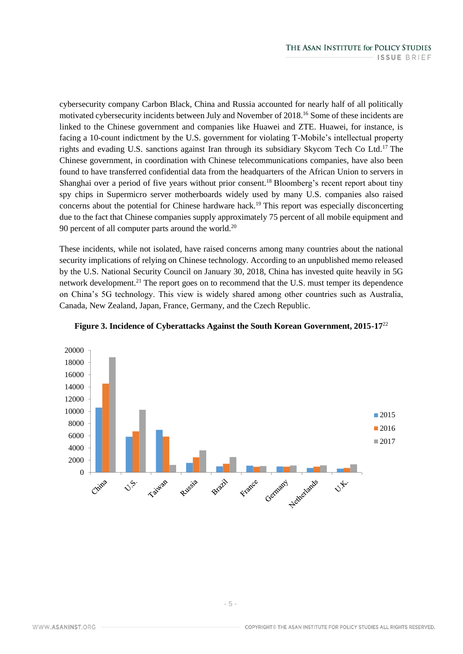cybersecurity company Carbon Black, China and Russia accounted for nearly half of all politically motivated cybersecurity incidents between July and November of 2018.<sup>16</sup> Some of these incidents are linked to the Chinese government and companies like Huawei and ZTE. Huawei, for instance, is facing a 10-count indictment by the U.S. government for violating T-Mobile's intellectual property rights and evading U.S. sanctions against Iran through its subsidiary Skycom Tech Co Ltd.<sup>17</sup> The Chinese government, in coordination with Chinese telecommunications companies, have also been found to have transferred confidential data from the headquarters of the African Union to servers in Shanghai over a period of five years without prior consent.<sup>18</sup> Bloomberg's recent report about tiny spy chips in Supermicro server motherboards widely used by many U.S. companies also raised concerns about the potential for Chinese hardware hack.<sup>19</sup> This report was especially disconcerting due to the fact that Chinese companies supply approximately 75 percent of all mobile equipment and 90 percent of all computer parts around the world.<sup>20</sup>

These incidents, while not isolated, have raised concerns among many countries about the national security implications of relying on Chinese technology. According to an unpublished memo released by the U.S. National Security Council on January 30, 2018, China has invested quite heavily in 5G network development.<sup>21</sup> The report goes on to recommend that the U.S. must temper its dependence on China's 5G technology. This view is widely shared among other countries such as Australia, Canada, New Zealand, Japan, France, Germany, and the Czech Republic.



#### **Figure 3. Incidence of Cyberattacks Against the South Korean Government, 2015-17**<sup>22</sup>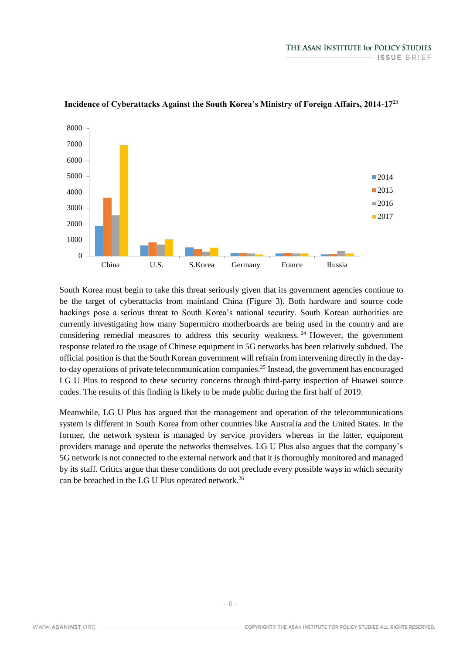

#### **Incidence of Cyberattacks Against the South Korea's Ministry of Foreign Affairs, 2014-17**<sup>23</sup>

South Korea must begin to take this threat seriously given that its government agencies continue to be the target of cyberattacks from mainland China (Figure 3). Both hardware and source code hackings pose a serious threat to South Korea's national security. South Korean authorities are currently investigating how many Supermicro motherboards are being used in the country and are considering remedial measures to address this security weakness. <sup>24</sup> However, the government response related to the usage of Chinese equipment in 5G networks has been relatively subdued. The official position is that the South Korean government will refrain from intervening directly in the dayto-day operations of private telecommunication companies.<sup>25</sup> Instead, the government has encouraged LG U Plus to respond to these security concerns through third-party inspection of Huawei source codes. The results of this finding is likely to be made public during the first half of 2019.

Meanwhile, LG U Plus has argued that the management and operation of the telecommunications system is different in South Korea from other countries like Australia and the United States. In the former, the network system is managed by service providers whereas in the latter, equipment providers manage and operate the networks themselves. LG U Plus also argues that the company's 5G network is not connected to the external network and that it is thoroughly monitored and managed by its staff. Critics argue that these conditions do not preclude every possible ways in which security can be breached in the LG U Plus operated network.<sup>26</sup>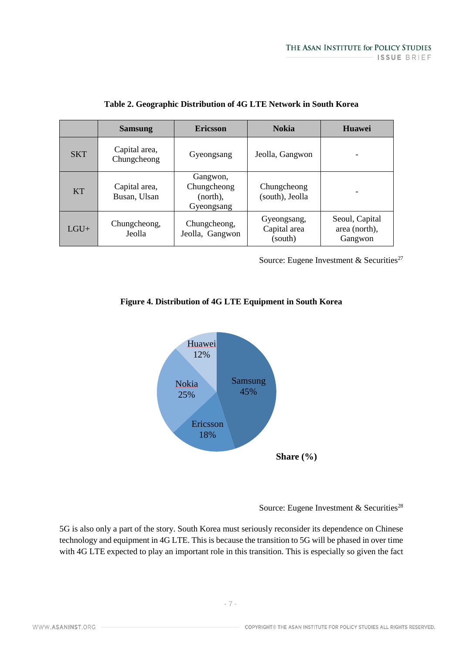|            | <b>Samsung</b>                | <b>Ericsson</b>                                   | <b>Nokia</b>                           | <b>Huawei</b>                              |
|------------|-------------------------------|---------------------------------------------------|----------------------------------------|--------------------------------------------|
| <b>SKT</b> | Capital area,<br>Chungcheong  | Gyeongsang                                        | Jeolla, Gangwon                        |                                            |
| <b>KT</b>  | Capital area,<br>Busan, Ulsan | Gangwon,<br>Chungcheong<br>(north),<br>Gyeongsang | Chungcheong<br>(south), Jeolla         |                                            |
| $LGU+$     | Chungcheong,<br>Jeolla        | Chungcheong,<br>Jeolla, Gangwon                   | Gyeongsang,<br>Capital area<br>(south) | Seoul, Capital<br>area (north),<br>Gangwon |

|  |  | Table 2. Geographic Distribution of 4G LTE Network in South Korea |
|--|--|-------------------------------------------------------------------|
|--|--|-------------------------------------------------------------------|

Source: Eugene Investment & Securities<sup>27</sup>

## **Figure 4. Distribution of 4G LTE Equipment in South Korea**



Source: Eugene Investment & Securities<sup>28</sup>

5G is also only a part of the story. South Korea must seriously reconsider its dependence on Chinese technology and equipment in 4G LTE. This is because the transition to 5G will be phased in over time with 4G LTE expected to play an important role in this transition. This is especially so given the fact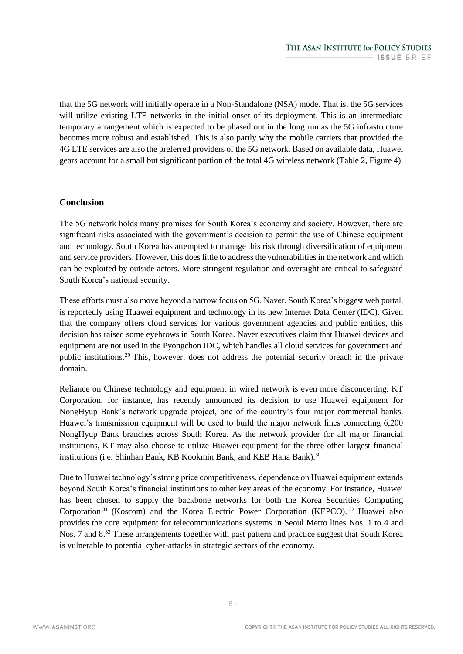that the 5G network will initially operate in a Non-Standalone (NSA) mode. That is, the 5G services will utilize existing LTE networks in the initial onset of its deployment. This is an intermediate temporary arrangement which is expected to be phased out in the long run as the 5G infrastructure becomes more robust and established. This is also partly why the mobile carriers that provided the 4G LTE services are also the preferred providers of the 5G network. Based on available data, Huawei gears account for a small but significant portion of the total 4G wireless network (Table 2, Figure 4).

### **Conclusion**

The 5G network holds many promises for South Korea's economy and society. However, there are significant risks associated with the government's decision to permit the use of Chinese equipment and technology. South Korea has attempted to manage this risk through diversification of equipment and service providers. However, this does little to address the vulnerabilities in the network and which can be exploited by outside actors. More stringent regulation and oversight are critical to safeguard South Korea's national security.

These efforts must also move beyond a narrow focus on 5G. Naver, South Korea's biggest web portal, is reportedly using Huawei equipment and technology in its new Internet Data Center (IDC). Given that the company offers cloud services for various government agencies and public entities, this decision has raised some eyebrows in South Korea. Naver executives claim that Huawei devices and equipment are not used in the Pyongchon IDC, which handles all cloud services for government and public institutions.<sup>29</sup> This, however, does not address the potential security breach in the private domain.

Reliance on Chinese technology and equipment in wired network is even more disconcerting. KT Corporation, for instance, has recently announced its decision to use Huawei equipment for NongHyup Bank's network upgrade project, one of the country's four major commercial banks. Huawei's transmission equipment will be used to build the major network lines connecting 6,200 NongHyup Bank branches across South Korea. As the network provider for all major financial institutions, KT may also choose to utilize Huawei equipment for the three other largest financial institutions (i.e. Shinhan Bank, KB Kookmin Bank, and KEB Hana Bank).<sup>30</sup>

Due to Huawei technology's strong price competitiveness, dependence on Huawei equipment extends beyond South Korea's financial institutions to other key areas of the economy. For instance, Huawei has been chosen to supply the backbone networks for both the Korea Securities Computing Corporation<sup>31</sup> (Koscom) and the Korea Electric Power Corporation (KEPCO).<sup>32</sup> Huawei also provides the core equipment for telecommunications systems in Seoul Metro lines Nos. 1 to 4 and Nos. 7 and 8.<sup>33</sup> These arrangements together with past pattern and practice suggest that South Korea is vulnerable to potential cyber-attacks in strategic sectors of the economy.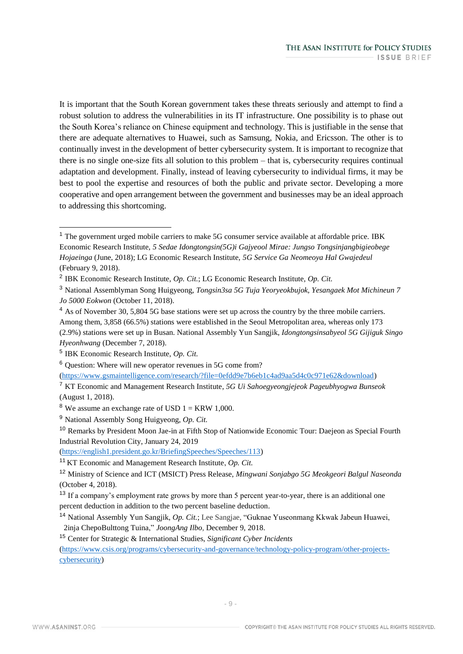It is important that the South Korean government takes these threats seriously and attempt to find a robust solution to address the vulnerabilities in its IT infrastructure. One possibility is to phase out the South Korea's reliance on Chinese equipment and technology. This is justifiable in the sense that there are adequate alternatives to Huawei, such as Samsung, Nokia, and Ericsson. The other is to continually invest in the development of better cybersecurity system. It is important to recognize that there is no single one-size fits all solution to this problem – that is, cybersecurity requires continual adaptation and development. Finally, instead of leaving cybersecurity to individual firms, it may be best to pool the expertise and resources of both the public and private sector. Developing a more cooperative and open arrangement between the government and businesses may be an ideal approach to addressing this shortcoming.

[\(https://www.gsmaintelligence.com/research/?file=0efdd9e7b6eb1c4ad9aa5d4c0c971e62&download\)](https://www.gsmaintelligence.com/research/?file=0efdd9e7b6eb1c4ad9aa5d4c0c971e62&download)

<sup>7</sup> KT Economic and Management Research Institute, *5G Ui Sahoegyeongjejeok Pageubhyogwa Bunseok* (August 1, 2018).

<sup>10</sup> Remarks by President Moon Jae-in at Fifth Stop of Nationwide Economic Tour: Daejeon as Special Fourth Industrial Revolution City, January 24, 2019

[\(https://english1.president.go.kr/BriefingSpeeches/Speeches/113\)](https://english1.president.go.kr/BriefingSpeeches/Speeches/113)

<sup>&</sup>lt;sup>1</sup> The government urged mobile carriers to make 5G consumer service available at affordable price. IBK Economic Research Institute, *5 Sedae Idongtongsin(5G)i Gajyeool Mirae: Jungso Tongsinjangbigieobege Hojaeinga* (June, 2018); LG Economic Research Institute, *5G Service Ga Neomeoya Hal Gwajedeul* (February 9, 2018).

<sup>2</sup> IBK Economic Research Institute, *Op. Cit.*; LG Economic Research Institute, *Op. Cit.*

<sup>3</sup> National Assemblyman Song Huigyeong, *Tongsin3sa 5G Tuja Yeoryeokbujok, Yesangaek Mot Michineun 7 Jo 5000 Eokwon* (October 11, 2018).

<sup>&</sup>lt;sup>4</sup> As of November 30, 5,804 5G base stations were set up across the country by the three mobile carriers. Among them, 3,858 (66.5%) stations were established in the Seoul Metropolitan area, whereas only 173 (2.9%) stations were set up in Busan. National Assembly Yun Sangjik, *Idongtongsinsabyeol 5G Gijiguk Singo Hyeonhwang* (December 7, 2018).

<sup>5</sup> IBK Economic Research Institute, *Op. Cit.*

<sup>6</sup> Question: Where will new operator revenues in 5G come from?

<sup>&</sup>lt;sup>8</sup> We assume an exchange rate of USD  $1 = \text{KRW } 1,000$ .

<sup>9</sup> National Assembly Song Huigyeong, *Op. Cit.* 

<sup>11</sup> KT Economic and Management Research Institute, *Op. Cit.* 

<sup>12</sup> Ministry of Science and ICT (MSICT) Press Release, *Mingwani Sonjabgo 5G Meokgeori Balgul Naseonda* (October 4, 2018).

<sup>&</sup>lt;sup>13</sup> If a company's employment rate grows by more than 5 percent year-to-year, there is an additional one percent deduction in addition to the two percent baseline deduction.

<sup>14</sup> National Assembly Yun Sangjik, *Op. Cit.*; Lee Sangjae, "Guknae Yuseonmang Kkwak Jabeun Huawei, 2inja ChepoBulttong Tuina," *JoongAng Ilbo*, December 9, 2018.

<sup>15</sup> Center for Strategic & International Studies, *Significant Cyber Incidents*

[<sup>\(</sup>https://www.csis.org/programs/cybersecurity-and-governance/technology-policy-program/other-projects](https://www.csis.org/programs/cybersecurity-and-governance/technology-policy-program/other-projects-cybersecurity)[cybersecurity\)](https://www.csis.org/programs/cybersecurity-and-governance/technology-policy-program/other-projects-cybersecurity)